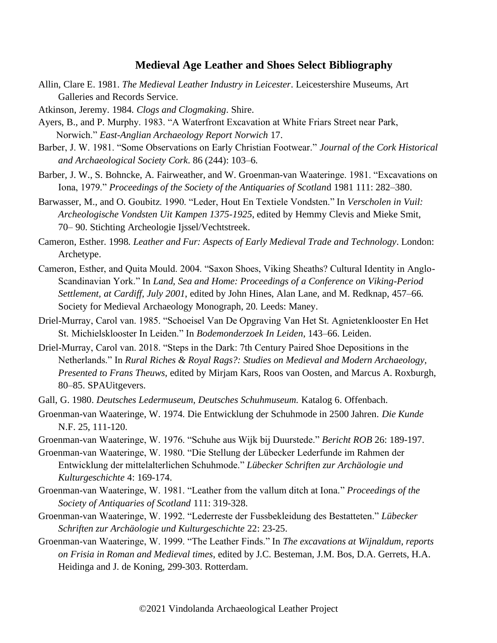## **Medieval Age Leather and Shoes Select Bibliography**

- Allin, Clare E. 1981. *The Medieval Leather Industry in Leicester*. Leicestershire Museums, Art Galleries and Records Service.
- Atkinson, Jeremy. 1984. *Clogs and Clogmaking*. Shire.
- Ayers, B., and P. Murphy. 1983. "A Waterfront Excavation at White Friars Street near Park, Norwich." *East-Anglian Archaeology Report Norwich* 17.
- Barber, J. W. 1981. "Some Observations on Early Christian Footwear." *Journal of the Cork Historical and Archaeological Society Cork*. 86 (244): 103–6.
- Barber, J. W., S. Bohncke, A. Fairweather, and W. Groenman-van Waateringe. 1981. "Excavations on Iona, 1979." *Proceedings of the Society of the Antiquaries of Scotlan*d 1981 111: 282–380.
- Barwasser, M., and O. Goubitz. 1990. "Leder, Hout En Textiele Vondsten." In *Verscholen in Vuil: Archeologische Vondsten Uit Kampen 1375-1925*, edited by Hemmy Clevis and Mieke Smit, 70– 90. Stichting Archeologie Ijssel/Vechtstreek.
- Cameron, Esther. 1998. *Leather and Fur: Aspects of Early Medieval Trade and Technology*. London: Archetype.
- Cameron, Esther, and Quita Mould. 2004. "Saxon Shoes, Viking Sheaths? Cultural Identity in Anglo-Scandinavian York." In *Land, Sea and Home: Proceedings of a Conference on Viking-Period Settlement, at Cardiff, July 2001*, edited by John Hines, Alan Lane, and M. Redknap, 457–66. Society for Medieval Archaeology Monograph, 20. Leeds: Maney.
- Driel-Murray, Carol van. 1985. "Schoeisel Van De Opgraving Van Het St. Agnietenklooster En Het St. Michielsklooster In Leiden." In *Bodemonderzoek In Leiden*, 143–66. Leiden.
- Driel-Murray, Carol van. 2018. "Steps in the Dark: 7th Century Paired Shoe Depositions in the Netherlands." In *Rural Riches & Royal Rags?: Studies on Medieval and Modern Archaeology, Presented to Frans Theuws*, edited by Mirjam Kars, Roos van Oosten, and Marcus A. Roxburgh, 80–85. SPAUitgevers.
- Gall, G. 1980. *Deutsches Ledermuseum, Deutsches Schuhmuseum.* Katalog 6. Offenbach.
- Groenman-van Waateringe, W. 1974. Die Entwicklung der Schuhmode in 2500 Jahren. *Die Kunde* N.F. 25, 111-120.
- Groenman-van Waateringe, W. 1976. "Schuhe aus Wijk bij Duurstede." *Bericht ROB* 26: 189-197.
- Groenman-van Waateringe, W. 1980. "Die Stellung der Lübecker Lederfunde im Rahmen der Entwicklung der mittelalterlichen Schuhmode." *Lübecker Schriften zur Archäologie und Kulturgeschichte* 4: 169-174.
- Groenman-van Waateringe, W. 1981. "Leather from the vallum ditch at Iona." *Proceedings of the Society of Antiquaries of Scotland* 111: 319-328.
- Groenman-van Waateringe, W. 1992. "Lederreste der Fussbekleidung des Bestatteten." *Lübecker Schriften zur Archäologie und Kulturgeschichte* 22: 23-25.
- Groenman-van Waateringe, W. 1999. "The Leather Finds." In *The excavations at Wijnaldum, reports on Frisia in Roman and Medieval times*, edited by J.C. Besteman, J.M. Bos, D.A. Gerrets, H.A. Heidinga and J. de Koning, 299-303. Rotterdam.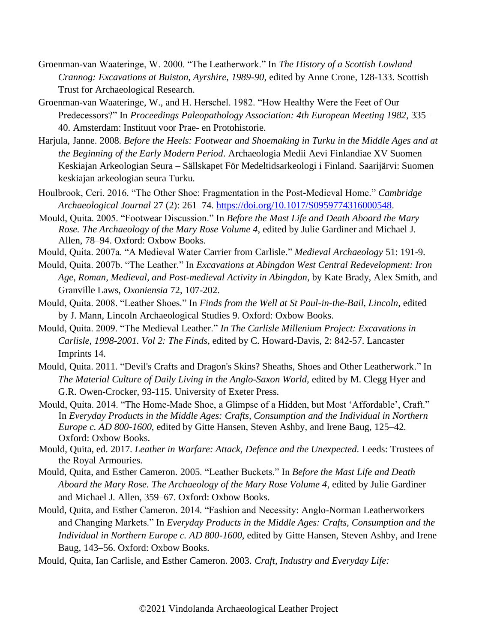- Groenman-van Waateringe, W. 2000. "The Leatherwork." In *The History of a Scottish Lowland Crannog: Excavations at Buiston, Ayrshire, 1989-90*, edited by Anne Crone, 128-133. Scottish Trust for Archaeological Research.
- Groenman-van Waateringe, W., and H. Herschel. 1982. "How Healthy Were the Feet of Our Predecessors?" In *Proceedings Paleopathology Association: 4th European Meeting 1982*, 335– 40. Amsterdam: Instituut voor Prae- en Protohistorie.
- Harjula, Janne. 2008. *Before the Heels: Footwear and Shoemaking in Turku in the Middle Ages and at the Beginning of the Early Modern Period*. Archaeologia Medii Aevi Finlandiae XV Suomen Keskiajan Arkeologian Seura – Sällskapet För Medeltidsarkeologi i Finland. Saarijärvi: Suomen keskiajan arkeologian seura Turku.
- Houlbrook, Ceri. 2016. "The Other Shoe: Fragmentation in the Post-Medieval Home." *Cambridge Archaeological Journal* 27 (2): 261–74. [https://doi.org/10.1017/S0959774316000548.](https://doi.org/10.1017/S0959774316000548)
- Mould, Quita. 2005. "Footwear Discussion." In *Before the Mast Life and Death Aboard the Mary Rose. The Archaeology of the Mary Rose Volume 4*, edited by Julie Gardiner and Michael J. Allen, 78–94. Oxford: Oxbow Books.
- Mould, Quita. 2007a. "A Medieval Water Carrier from Carlisle." *Medieval Archaeology* 51: 191-9.
- Mould, Quita. 2007b. "The Leather." In *Excavations at Abingdon West Central Redevelopment: Iron Age, Roman, Medieval, and Post-medieval Activity in Abingdon,* by Kate Brady, Alex Smith, and Granville Laws, *Oxoniensia* 72, 107-202.
- Mould, Quita. 2008. "Leather Shoes." In *Finds from the Well at St Paul-in-the-Bail, Lincoln*, edited by J. Mann, Lincoln Archaeological Studies 9. Oxford: Oxbow Books.
- Mould, Quita. 2009. "The Medieval Leather." *In The Carlisle Millenium Project: Excavations in Carlisle, 1998-2001. Vol 2: The Finds*, edited by C. Howard-Davis, 2: 842-57. Lancaster Imprints 14.
- Mould, Quita. 2011. "Devil's Crafts and Dragon's Skins? Sheaths, Shoes and Other Leatherwork." In *The Material Culture of Daily Living in the Anglo-Saxon World,* edited by M. Clegg Hyer and G.R. Owen-Crocker, 93-115. University of Exeter Press.
- Mould, Quita. 2014. "The Home-Made Shoe, a Glimpse of a Hidden, but Most 'Affordable', Craft." In *Everyday Products in the Middle Ages: Crafts, Consumption and the Individual in Northern Europe c. AD 800-1600*, edited by Gitte Hansen, Steven Ashby, and Irene Baug, 125–42. Oxford: Oxbow Books.
- Mould, Quita, ed. 2017. *Leather in Warfare: Attack, Defence and the Unexpected.* Leeds: Trustees of the Royal Armouries.
- Mould, Quita, and Esther Cameron. 2005. "Leather Buckets." In *Before the Mast Life and Death Aboard the Mary Rose. The Archaeology of the Mary Rose Volume 4*, edited by Julie Gardiner and Michael J. Allen, 359–67. Oxford: Oxbow Books.
- Mould, Quita, and Esther Cameron. 2014. "Fashion and Necessity: Anglo-Norman Leatherworkers and Changing Markets." In *Everyday Products in the Middle Ages: Crafts, Consumption and the Individual in Northern Europe c. AD 800-1600*, edited by Gitte Hansen, Steven Ashby, and Irene Baug, 143–56. Oxford: Oxbow Books.

Mould, Quita, Ian Carlisle, and Esther Cameron. 2003. *Craft, Industry and Everyday Life:*